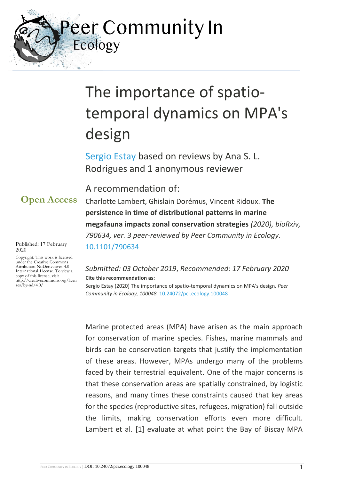eer Community In Ecology

# The importance of spatiotemporal dynamics on MPA's design

[Sergio Estay](https://ecology.peercommunityin.org/public/viewUserCard?userId=185) based on reviews by Ana S. L. Rodrigues and 1 anonymous reviewer

A recommendation of:

Charlotte Lambert, Ghislain Dorémus, Vincent Ridoux. **The persistence in time of distributional patterns in marine megafauna impacts zonal conservation strategies** *(2020), bioRxiv, 790634, ver. 3 peer-reviewed by Peer Community in Ecology.*  [10.1101/790634](https://doi.org/10.1101/790634)

#### *Submitted: 03 October 2019*, *Recommended: 17 February 2020* **Cite this recommendation as:**

Sergio Estay (2020) The importance of spatio-temporal dynamics on MPA's design. *Peer Community in Ecology, 100048.* [10.24072/pci.ecology.100048](https://doi.org/10.24072/pci.ecology.100048)

Marine protected areas (MPA) have arisen as the main approach for conservation of marine species. Fishes, marine mammals and birds can be conservation targets that justify the implementation of these areas. However, MPAs undergo many of the problems faced by their terrestrial equivalent. One of the major concerns is that these conservation areas are spatially constrained, by logistic reasons, and many times these constraints caused that key areas for the species (reproductive sites, refugees, migration) fall outside the limits, making conservation efforts even more difficult. Lambert et al. [1] evaluate at what point the Bay of Biscay MPA

Published: 17 February 2020

Copyright: This work is licensed under the Creative Commons Attribution-NoDerivatives 4.0 International License. To view a copy of this license, visit http://creativecommons.org/licen ses/by-nd/4.0/

**Open Access**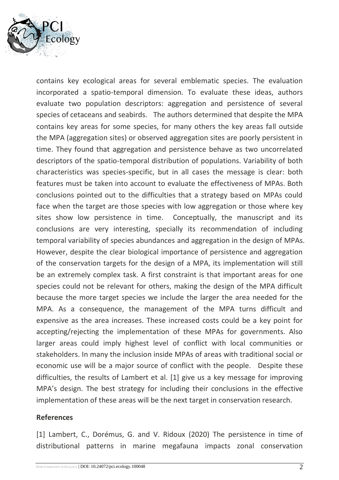

contains key ecological areas for several emblematic species. The evaluation incorporated a spatio-temporal dimension. To evaluate these ideas, authors evaluate two population descriptors: aggregation and persistence of several species of cetaceans and seabirds. The authors determined that despite the MPA contains key areas for some species, for many others the key areas fall outside the MPA (aggregation sites) or observed aggregation sites are poorly persistent in time. They found that aggregation and persistence behave as two uncorrelated descriptors of the spatio-temporal distribution of populations. Variability of both characteristics was species-specific, but in all cases the message is clear: both features must be taken into account to evaluate the effectiveness of MPAs. Both conclusions pointed out to the difficulties that a strategy based on MPAs could face when the target are those species with low aggregation or those where key sites show low persistence in time. Conceptually, the manuscript and its conclusions are very interesting, specially its recommendation of including temporal variability of species abundances and aggregation in the design of MPAs. However, despite the clear biological importance of persistence and aggregation of the conservation targets for the design of a MPA, its implementation will still be an extremely complex task. A first constraint is that important areas for one species could not be relevant for others, making the design of the MPA difficult because the more target species we include the larger the area needed for the MPA. As a consequence, the management of the MPA turns difficult and expensive as the area increases. These increased costs could be a key point for accepting/rejecting the implementation of these MPAs for governments. Also larger areas could imply highest level of conflict with local communities or stakeholders. In many the inclusion inside MPAs of areas with traditional social or economic use will be a major source of conflict with the people. Despite these difficulties, the results of Lambert et al. [1] give us a key message for improving MPA's design. The best strategy for including their conclusions in the effective implementation of these areas will be the next target in conservation research.

#### **References**

[1] Lambert, C., Dorémus, G. and V. Ridoux (2020) The persistence in time of distributional patterns in marine megafauna impacts zonal conservation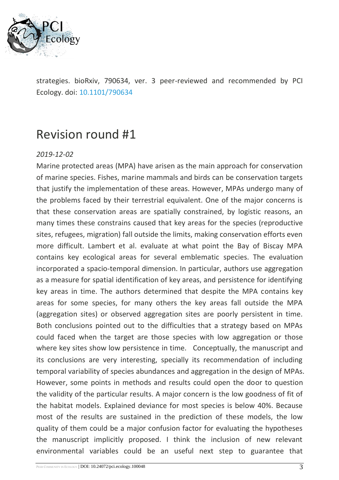

strategies. bioRxiv, 790634, ver. 3 peer-reviewed and recommended by PCI Ecology. doi: [10.1101/790634](https://dx.doi.org/10.1101/790634)

# Revision round #1

#### *2019-12-02*

Marine protected areas (MPA) have arisen as the main approach for conservation of marine species. Fishes, marine mammals and birds can be conservation targets that justify the implementation of these areas. However, MPAs undergo many of the problems faced by their terrestrial equivalent. One of the major concerns is that these conservation areas are spatially constrained, by logistic reasons, an many times these constrains caused that key areas for the species (reproductive sites, refugees, migration) fall outside the limits, making conservation efforts even more difficult. Lambert et al. evaluate at what point the Bay of Biscay MPA contains key ecological areas for several emblematic species. The evaluation incorporated a spacio-temporal dimension. In particular, authors use aggregation as a measure for spatial identification of key areas, and persistence for identifying key areas in time. The authors determined that despite the MPA contains key areas for some species, for many others the key areas fall outside the MPA (aggregation sites) or observed aggregation sites are poorly persistent in time. Both conclusions pointed out to the difficulties that a strategy based on MPAs could faced when the target are those species with low aggregation or those where key sites show low persistence in time. Conceptually, the manuscript and its conclusions are very interesting, specially its recommendation of including temporal variability of species abundances and aggregation in the design of MPAs. However, some points in methods and results could open the door to question the validity of the particular results. A major concern is the low goodness of fit of the habitat models. Explained deviance for most species is below 40%. Because most of the results are sustained in the prediction of these models, the low quality of them could be a major confusion factor for evaluating the hypotheses the manuscript implicitly proposed. I think the inclusion of new relevant environmental variables could be an useful next step to guarantee that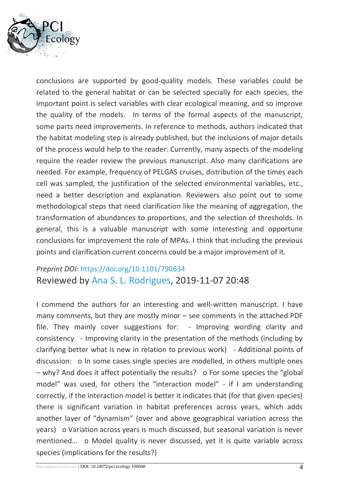

conclusions are supported by good-quality models. These variables could be related to the general habitat or can be selected specially for each species, the important point is select variables with clear ecological meaning, and so improve the quality of the models. In terms of the formal aspects of the manuscript, some parts need improvements. In reference to methods, authors indicated that the habitat modeling step is already published, but the inclusions of major details of the process would help to the reader. Currently, many aspects of the modeling require the reader review the previous manuscript. Also many clarifications are needed. For example, frequency of PELGAS cruises, distribution of the times each cell was sampled, the justification of the selected environmental variables, etc., need a better description and explanation. Reviewers also point out to some methodological steps that need clarification like the meaning of aggregation, the transformation of abundances to proportions, and the selection of thresholds. In general, this is a valuable manuscript with some interesting and opportune conclusions for improvement the role of MPAs. I think that including the previous points and clarification current concerns could be a major improvement of it.

### *Preprint DOI:* <https://doi.org/10.1101/790634> Reviewed by [Ana S. L. Rodrigues,](https://ecology.peercommunityin.org/public/viewUserCard?userId=861) 2019-11-07 20:48

I commend the authors for an interesting and well-written manuscript. I have many comments, but they are mostly minor – see comments in the attached PDF file. They mainly cover suggestions for: - Improving wording clarity and consistency - Improving clarity in the presentation of the methods (including by clarifying better what is new in relation to previous work) - Additional points of discussion: o In some cases single species are modelled, in others multiple ones – why? And does it affect potentially the results? o For some species the "global model" was used, for others the "interaction model" - if I am understanding correctly, if the interaction model is better it indicates that (for that given species) there is significant variation in habitat preferences across years, which adds another layer of "dynamism" (over and above geographical variation across the years) o Variation across years is much discussed, but seasonal variation is never mentioned… o Model quality is never discussed, yet it is quite variable across species (implications for the results?)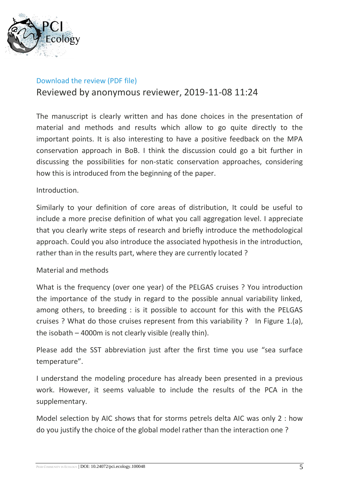

#### [Download the review \(PDF file\)](https://ecology.peercommunityin.org/download/t_reviews.review_pdf.96e23794512002a2.4c616d626572745f6574616c5f436f6d6d656e7465642e66756c6c2e706466.pdf)

#### Reviewed by anonymous reviewer, 2019-11-08 11:24

The manuscript is clearly written and has done choices in the presentation of material and methods and results which allow to go quite directly to the important points. It is also interesting to have a positive feedback on the MPA conservation approach in BoB. I think the discussion could go a bit further in discussing the possibilities for non-static conservation approaches, considering how this is introduced from the beginning of the paper.

#### Introduction.

Similarly to your definition of core areas of distribution, It could be useful to include a more precise definition of what you call aggregation level. I appreciate that you clearly write steps of research and briefly introduce the methodological approach. Could you also introduce the associated hypothesis in the introduction, rather than in the results part, where they are currently located ?

#### Material and methods

What is the frequency (over one year) of the PELGAS cruises ? You introduction the importance of the study in regard to the possible annual variability linked, among others, to breeding : is it possible to account for this with the PELGAS cruises ? What do those cruises represent from this variability ? In Figure 1.(a), the isobath – 4000m is not clearly visible (really thin).

Please add the SST abbreviation just after the first time you use "sea surface temperature".

I understand the modeling procedure has already been presented in a previous work. However, it seems valuable to include the results of the PCA in the supplementary.

Model selection by AIC shows that for storms petrels delta AIC was only 2 : how do you justify the choice of the global model rather than the interaction one ?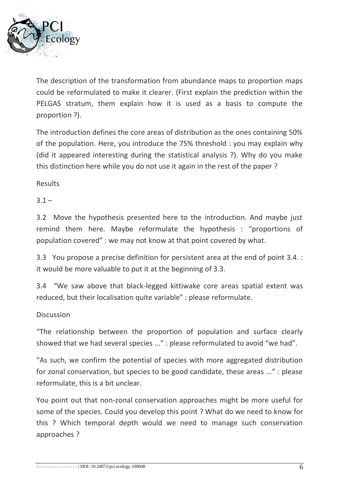

The description of the transformation from abundance maps to proportion maps could be reformulated to make it clearer. (First explain the prediction within the PELGAS stratum, them explain how it is used as a basis to compute the proportion ?).

The introduction defines the core areas of distribution as the ones containing 50% of the population. Here, you introduce the 75% threshold : you may explain why (did it appeared interesting during the statistical analysis ?). Why do you make this distinction here while you do not use it again in the rest of the paper ?

Results

 $3.1 -$ 

3.2 Move the hypothesis presented here to the introduction. And maybe just remind them here. Maybe reformulate the hypothesis : "proportions of population covered" : we may not know at that point covered by what.

3.3 You propose a precise definition for persistent area at the end of point 3.4. : it would be more valuable to put it at the beginning of 3.3.

3.4 "We saw above that black-legged kittiwake core areas spatial extent was reduced, but their localisation quite variable" : please reformulate.

**Discussion** 

"The relationship between the proportion of population and surface clearly showed that we had several species ..." : please reformulated to avoid "we had".

"As such, we confirm the potential of species with more aggregated distribution for zonal conservation, but species to be good candidate, these areas ..." : please reformulate, this is a bit unclear.

You point out that non-zonal conservation approaches might be more useful for some of the species. Could you develop this point ? What do we need to know for this ? Which temporal depth would we need to manage such conservation approaches ?